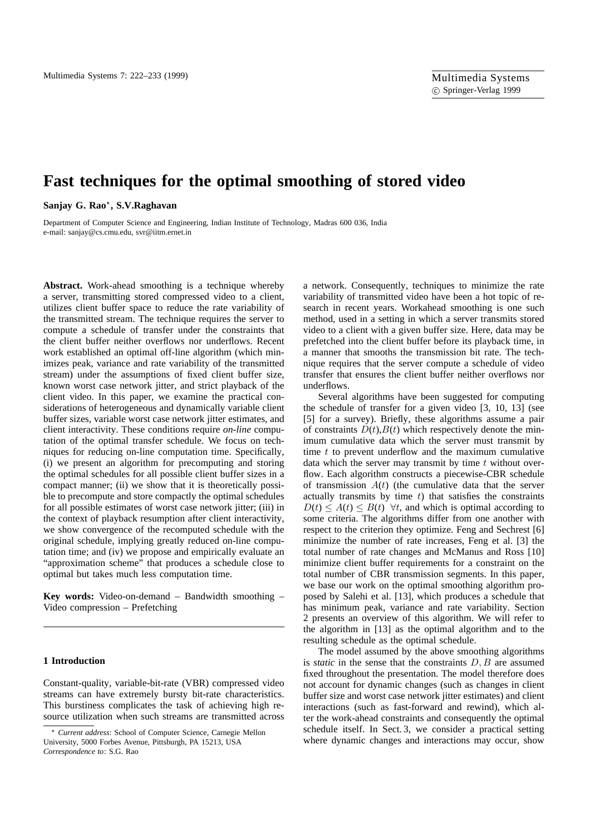# **Fast techniques for the optimal smoothing of stored video**

**Sanjay G. Rao**?**, S.V.Raghavan**

Department of Computer Science and Engineering, Indian Institute of Technology, Madras 600 036, India e-mail: sanjay@cs.cmu.edu, svr@iitm.ernet.in

**Abstract.** Work-ahead smoothing is a technique whereby a server, transmitting stored compressed video to a client, utilizes client buffer space to reduce the rate variability of the transmitted stream. The technique requires the server to compute a schedule of transfer under the constraints that the client buffer neither overflows nor underflows. Recent work established an optimal off-line algorithm (which minimizes peak, variance and rate variability of the transmitted stream) under the assumptions of fixed client buffer size, known worst case network jitter, and strict playback of the client video. In this paper, we examine the practical considerations of heterogeneous and dynamically variable client buffer sizes, variable worst case network jitter estimates, and client interactivity. These conditions require *on-line* computation of the optimal transfer schedule. We focus on techniques for reducing on-line computation time. Specifically, (i) we present an algorithm for precomputing and storing the optimal schedules for all possible client buffer sizes in a compact manner; (ii) we show that it is theoretically possible to precompute and store compactly the optimal schedules for all possible estimates of worst case network jitter; (iii) in the context of playback resumption after client interactivity, we show convergence of the recomputed schedule with the original schedule, implying greatly reduced on-line computation time; and (iv) we propose and empirically evaluate an "approximation scheme" that produces a schedule close to optimal but takes much less computation time.

**Key words:** Video-on-demand – Bandwidth smoothing – Video compression – Prefetching

#### **1 Introduction**

Constant-quality, variable-bit-rate (VBR) compressed video streams can have extremely bursty bit-rate characteristics. This burstiness complicates the task of achieving high resource utilization when such streams are transmitted across a network. Consequently, techniques to minimize the rate variability of transmitted video have been a hot topic of research in recent years. Workahead smoothing is one such method, used in a setting in which a server transmits stored video to a client with a given buffer size. Here, data may be prefetched into the client buffer before its playback time, in a manner that smooths the transmission bit rate. The technique requires that the server compute a schedule of video transfer that ensures the client buffer neither overflows nor underflows.

Several algorithms have been suggested for computing the schedule of transfer for a given video [3, 10, 13] (see [5] for a survey). Briefly, these algorithms assume a pair of constraints  $D(t)$ ,  $B(t)$  which respectively denote the minimum cumulative data which the server must transmit by time  $t$  to prevent underflow and the maximum cumulative data which the server may transmit by time  $t$  without overflow. Each algorithm constructs a piecewise-CBR schedule of transmission  $A(t)$  (the cumulative data that the server actually transmits by time  $t$ ) that satisfies the constraints  $D(t) \leq A(t) \leq B(t)$   $\forall t$ , and which is optimal according to some criteria. The algorithms differ from one another with respect to the criterion they optimize. Feng and Sechrest [6] minimize the number of rate increases, Feng et al. [3] the total number of rate changes and McManus and Ross [10] minimize client buffer requirements for a constraint on the total number of CBR transmission segments. In this paper, we base our work on the optimal smoothing algorithm proposed by Salehi et al. [13], which produces a schedule that has minimum peak, variance and rate variability. Section 2 presents an overview of this algorithm. We will refer to the algorithm in [13] as the optimal algorithm and to the resulting schedule as the optimal schedule.

The model assumed by the above smoothing algorithms is *static* in the sense that the constraints  $D, B$  are assumed fixed throughout the presentation. The model therefore does not account for dynamic changes (such as changes in client buffer size and worst case network jitter estimates) and client interactions (such as fast-forward and rewind), which alter the work-ahead constraints and consequently the optimal schedule itself. In Sect. 3, we consider a practical setting where dynamic changes and interactions may occur, show

<sup>?</sup> *Current address*: School of Computer Science, Carnegie Mellon University, 5000 Forbes Avenue, Pittsburgh, PA 15213, USA *Correspondence to*: S.G. Rao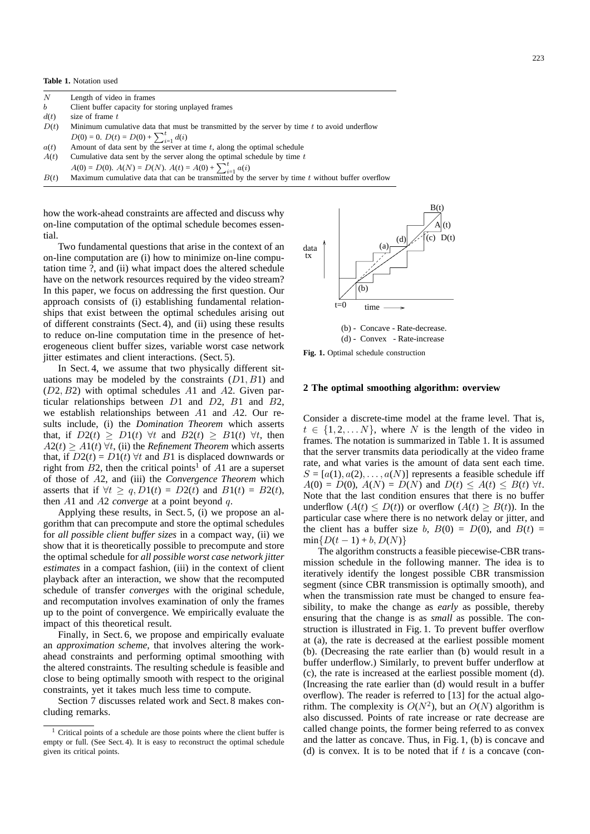#### **Table 1.** Notation used

| N | Length of video in frames |  |  |  |  |
|---|---------------------------|--|--|--|--|
|---|---------------------------|--|--|--|--|

- b Client buffer capacity for storing unplayed frames
- $d(t)$  size of frame t<br> $D(t)$  Minimum cum
- Minimum cumulative data that must be transmitted by the server by time  $t$  to avoid underflow  $D(0) = 0.$   $D(t) = D(0) + \sum_{i=1}^{t} d(i)$
- $a(t)$  Amount of data sent by the server at time t, along the optimal schedule
- $A(t)$  Cumulative data sent by the server along the optimal schedule by time t
- $A(0) = D(0)$ .  $A(N) = D(N)$ .  $A(t) = A(0) + \sum_{i=1}^{t} a(i)$
- $B(t)$  Maximum cumulative data that can be transmitted by the server by time t without buffer overflow

how the work-ahead constraints are affected and discuss why on-line computation of the optimal schedule becomes essential.

Two fundamental questions that arise in the context of an on-line computation are (i) how to minimize on-line computation time ?, and (ii) what impact does the altered schedule have on the network resources required by the video stream? In this paper, we focus on addressing the first question. Our approach consists of (i) establishing fundamental relationships that exist between the optimal schedules arising out of different constraints (Sect. 4), and (ii) using these results to reduce on-line computation time in the presence of heterogeneous client buffer sizes, variable worst case network jitter estimates and client interactions. (Sect. 5).

In Sect. 4, we assume that two physically different situations may be modeled by the constraints  $(D1, B1)$  and  $(D2, B2)$  with optimal schedules A1 and A2. Given particular relationships between D1 and D2, B1 and B2, we establish relationships between A1 and A2. Our results include, (i) the *Domination Theorem* which asserts that, if  $D2(t) \geq D1(t)$   $\forall t$  and  $B2(t) \geq B1(t)$   $\forall t$ , then  $A2(t) \ge A1(t) \,\forall t$ , (ii) the *Refinement Theorem* which asserts that, if  $D2(t) = D1(t)$   $\forall t$  and  $B1$  is displaced downwards or right from  $B2$ , then the critical points<sup>1</sup> of  $A1$  are a superset of those of A2, and (iii) the *Convergence Theorem* which asserts that if  $\forall t \ge q$ ,  $D_1(t) = D_2(t)$  and  $B_1(t) = B_2(t)$ , then A1 and A2 *converge* at a point beyond q.

Applying these results, in Sect. 5, (i) we propose an algorithm that can precompute and store the optimal schedules for *all possible client buffer sizes* in a compact way, (ii) we show that it is theoretically possible to precompute and store the optimal schedule for *all possible worst case network jitter estimates* in a compact fashion, (iii) in the context of client playback after an interaction, we show that the recomputed schedule of transfer *converges* with the original schedule, and recomputation involves examination of only the frames up to the point of convergence. We empirically evaluate the impact of this theoretical result.

Finally, in Sect. 6, we propose and empirically evaluate an *approximation scheme*, that involves altering the workahead constraints and performing optimal smoothing with the altered constraints. The resulting schedule is feasible and close to being optimally smooth with respect to the original constraints, yet it takes much less time to compute.

Section 7 discusses related work and Sect. 8 makes concluding remarks.



(d) - Convex - Rate-increase (b) - Concave - Rate-decrease. **Fig. 1.** Optimal schedule construction

# **2 The optimal smoothing algorithm: overview**

Consider a discrete-time model at the frame level. That is,  $t \in \{1, 2, \ldots N\}$ , where N is the length of the video in frames. The notation is summarized in Table 1. It is assumed that the server transmits data periodically at the video frame rate, and what varies is the amount of data sent each time.  $S = [a(1), a(2), \ldots, a(N)]$  represents a feasible schedule iff  $A(0) = D(0)$ ,  $A(N) = D(N)$  and  $D(t) \leq A(t) \leq B(t) \ \forall t$ . Note that the last condition ensures that there is no buffer underflow  $(A(t) \leq D(t))$  or overflow  $(A(t) \geq B(t))$ . In the particular case where there is no network delay or jitter, and the client has a buffer size b,  $B(0) = D(0)$ , and  $B(t) =$  $min\{D(t - 1) + b, D(N)\}\$ 

The algorithm constructs a feasible piecewise-CBR transmission schedule in the following manner. The idea is to iteratively identify the longest possible CBR transmission segment (since CBR transmission is optimally smooth), and when the transmission rate must be changed to ensure feasibility, to make the change as *early* as possible, thereby ensuring that the change is as *small* as possible. The construction is illustrated in Fig. 1. To prevent buffer overflow at (a), the rate is decreased at the earliest possible moment (b). (Decreasing the rate earlier than (b) would result in a buffer underflow.) Similarly, to prevent buffer underflow at (c), the rate is increased at the earliest possible moment (d). (Increasing the rate earlier than (d) would result in a buffer overflow). The reader is referred to [13] for the actual algorithm. The complexity is  $O(N^2)$ , but an  $O(N)$  algorithm is also discussed. Points of rate increase or rate decrease are called change points, the former being referred to as convex and the latter as concave. Thus, in Fig. 1, (b) is concave and (d) is convex. It is to be noted that if  $t$  is a concave (con-

<sup>1</sup> Critical points of a schedule are those points where the client buffer is empty or full. (See Sect. 4). It is easy to reconstruct the optimal schedule given its critical points.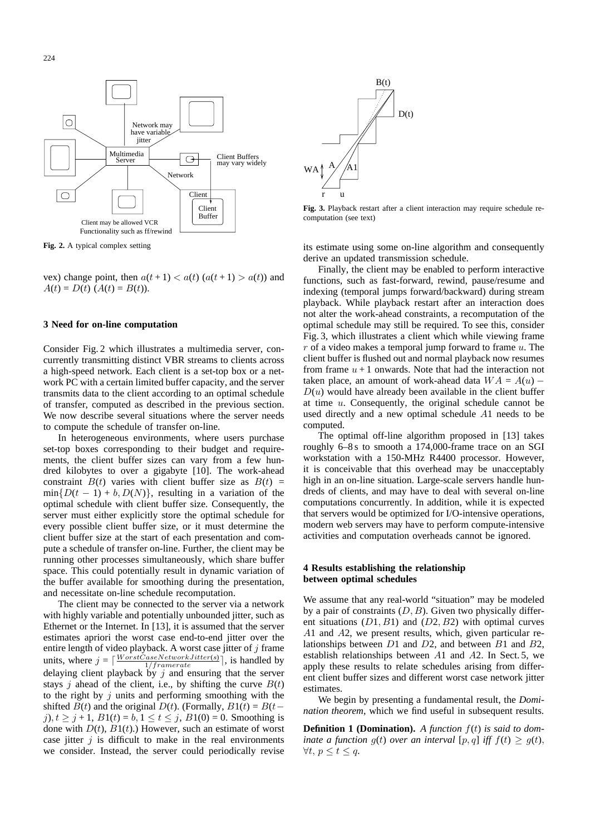

**Fig. 2.** A typical complex setting

vex) change point, then  $a(t+1) < a(t)$   $(a(t+1) > a(t))$  and  $A(t) = D(t)$   $(A(t) = B(t)).$ 

#### **3 Need for on-line computation**

Consider Fig. 2 which illustrates a multimedia server, concurrently transmitting distinct VBR streams to clients across a high-speed network. Each client is a set-top box or a network PC with a certain limited buffer capacity, and the server transmits data to the client according to an optimal schedule of transfer, computed as described in the previous section. We now describe several situations where the server needs to compute the schedule of transfer on-line.

In heterogeneous environments, where users purchase set-top boxes corresponding to their budget and requirements, the client buffer sizes can vary from a few hundred kilobytes to over a gigabyte [10]. The work-ahead constraint  $B(t)$  varies with client buffer size as  $B(t)$  =  $min\{D(t-1)+b, D(N)\}\$ , resulting in a variation of the optimal schedule with client buffer size. Consequently, the server must either explicitly store the optimal schedule for every possible client buffer size, or it must determine the client buffer size at the start of each presentation and compute a schedule of transfer on-line. Further, the client may be running other processes simultaneously, which share buffer space. This could potentially result in dynamic variation of the buffer available for smoothing during the presentation, and necessitate on-line schedule recomputation.

The client may be connected to the server via a network with highly variable and potentially unbounded jitter, such as Ethernet or the Internet. In [13], it is assumed that the server estimates apriori the worst case end-to-end jitter over the entire length of video playback. A worst case jitter of  $j$  frame units, where  $j = \lceil \frac{WorstCaseNetworkJitter(s)}{1/framerate} \rceil$ , is handled by delaying client playback by  $j$  and ensuring that the server stays j ahead of the client, i.e., by shifting the curve  $B(t)$ to the right by  $j$  units and performing smoothing with the shifted  $B(t)$  and the original  $D(t)$ . (Formally,  $B1(t) = B(t$ j),  $t \ge j + 1$ ,  $B1(t) = b$ ,  $1 \le t \le j$ ,  $B1(0) = 0$ . Smoothing is done with  $D(t)$ ,  $B1(t)$ .) However, such an estimate of worst case jitter  $j$  is difficult to make in the real environments we consider. Instead, the server could periodically revise



**Fig. 3.** Playback restart after a client interaction may require schedule recomputation (see text)

its estimate using some on-line algorithm and consequently derive an updated transmission schedule.

Finally, the client may be enabled to perform interactive functions, such as fast-forward, rewind, pause/resume and indexing (temporal jumps forward/backward) during stream playback. While playback restart after an interaction does not alter the work-ahead constraints, a recomputation of the optimal schedule may still be required. To see this, consider Fig. 3, which illustrates a client which while viewing frame  $r$  of a video makes a temporal jump forward to frame  $u$ . The client buffer is flushed out and normal playback now resumes from frame  $u + 1$  onwards. Note that had the interaction not taken place, an amount of work-ahead data  $WA = A(u)$  –  $D(u)$  would have already been available in the client buffer at time u. Consequently, the original schedule cannot be used directly and a new optimal schedule A1 needs to be computed.

The optimal off-line algorithm proposed in [13] takes roughly 6–8 s to smooth a 174,000-frame trace on an SGI workstation with a 150-MHz R4400 processor. However, it is conceivable that this overhead may be unacceptably high in an on-line situation. Large-scale servers handle hundreds of clients, and may have to deal with several on-line computations concurrently. In addition, while it is expected that servers would be optimized for I/O-intensive operations, modern web servers may have to perform compute-intensive activities and computation overheads cannot be ignored.

# **4 Results establishing the relationship between optimal schedules**

We assume that any real-world "situation" may be modeled by a pair of constraints  $(D, B)$ . Given two physically different situations  $(D1, B1)$  and  $(D2, B2)$  with optimal curves A1 and A2, we present results, which, given particular relationships between  $D1$  and  $D2$ , and between  $B1$  and  $B2$ , establish relationships between A1 and A2. In Sect. 5, we apply these results to relate schedules arising from different client buffer sizes and different worst case network jitter estimates.

We begin by presenting a fundamental result, the *Domination theorem*, which we find useful in subsequent results.

**Definition 1 (Domination).** *A function* f(t) *is said to dominate a function*  $g(t)$  *over an interval*  $[p, q]$  *iff*  $f(t) \ge g(t)$ ,  $∀t, p ≤ t ≤ q.$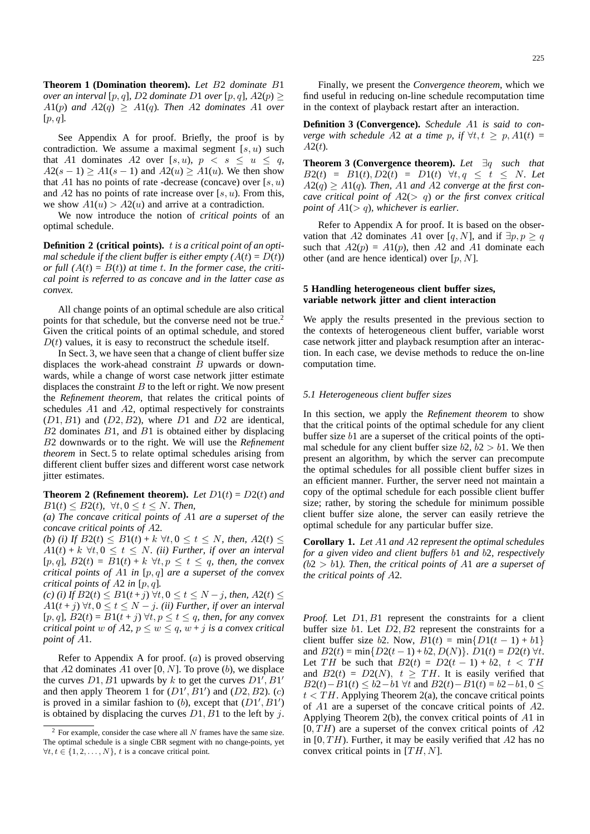**Theorem 1 (Domination theorem).** *Let* B2 *dominate* B1 *over an interval* [p, q], D2 *dominate* D1 *over* [p, q],  $A2(p) \ge$  $A1(p)$  *and*  $A2(q) \geq A1(q)$ *. Then* A2 *dominates* A1 *over* [p, q]*.*

See Appendix A for proof. Briefly, the proof is by contradiction. We assume a maximal segment  $[s, u)$  such that A1 dominates A2 over [s, u),  $p \leq s \leq u \leq q$ ,  $A2(s-1) \ge A1(s-1)$  and  $A2(u) \ge A1(u)$ . We then show that A1 has no points of rate -decrease (concave) over [s, u) and  $A2$  has no points of rate increase over [s, u). From this, we show  $A1(u) > A2(u)$  and arrive at a contradiction.

We now introduce the notion of *critical points* of an optimal schedule.

**Definition 2 (critical points).** t *is a critical point of an optimal schedule if the client buffer is either empty*  $(A(t) = D(t))$ or full  $(A(t) = B(t))$  at time t. In the former case, the criti*cal point is referred to as concave and in the latter case as convex.*

All change points of an optimal schedule are also critical points for that schedule, but the converse need not be true.<sup>2</sup> Given the critical points of an optimal schedule, and stored  $D(t)$  values, it is easy to reconstruct the schedule itself.

In Sect. 3, we have seen that a change of client buffer size displaces the work-ahead constraint  $B$  upwards or downwards, while a change of worst case network jitter estimate displaces the constraint  $B$  to the left or right. We now present the *Refinement theorem*, that relates the critical points of schedules A1 and A2, optimal respectively for constraints  $(D1, B1)$  and  $(D2, B2)$ , where D1 and D2 are identical,  $B2$  dominates  $B1$ , and  $B1$  is obtained either by displacing B2 downwards or to the right. We will use the *Refinement theorem* in Sect. 5 to relate optimal schedules arising from different client buffer sizes and different worst case network jitter estimates.

**Theorem 2 (Refinement theorem).** *Let*  $D1(t) = D2(t)$  *and*  $B1(t) \leq B2(t)$ ,  $\forall t, 0 \leq t \leq N$ . Then,

*(a) The concave critical points of* A1 *are a superset of the concave critical points of* A2*.*

*(b) (i) If*  $B2(t) \leq B1(t) + k \forall t, 0 \leq t \leq N$ , then,  $A2(t) \leq$  $A1(t) + k \ \forall t, 0 \leq t \leq N$ . *(ii) Further, if over an interval* [p, q],  $B2(t) = B1(t) + k \ \forall t, p \leq t \leq q$ , then, the convex *critical points of* A1 *in* [p, q] *are a superset of the convex critical points of* A2 *in* [p, q]*.*

*(c) (i) If*  $B2(t)$  ≤  $B1(t+j)$   $\forall t, 0 \le t \le N-j$ *, then,*  $A2(t)$  ≤  $A1(t+j)$   $\forall t, 0 \le t \le N - j$ . *(ii) Further, if over an interval* [p, q],  $B2(t) = B1(t + j)$   $\forall t, p \le t \le q$ , then, for any convex *critical point* w of A2,  $p \leq w \leq q$ ,  $w + j$  *is a convex critical point of* A1*.*

Refer to Appendix A for proof.  $(a)$  is proved observing that A2 dominates A1 over [0, N]. To prove  $(b)$ , we displace the curves  $D1, B1$  upwards by k to get the curves  $D1', B1'$ and then apply Theorem 1 for  $(D1', B1')$  and  $(D2, B2)$ . (c) is proved in a similar fashion to  $(b)$ , except that  $(D1', B1')$ is obtained by displacing the curves  $D1$ ,  $B1$  to the left by j.

Finally, we present the *Convergence theorem*, which we find useful in reducing on-line schedule recomputation time in the context of playback restart after an interaction.

**Definition 3 (Convergence).** *Schedule* A1 *is said to converge with schedule* A2 *at a time* p, if  $\forall t, t > p$ , A1(t) = A2(t)*.*

**Theorem 3 (Convergence theorem).** *Let* ∃q *such that*  $B2(t) = B1(t), D2(t) = D1(t) \forall t, q \le t \le N$ . Let  $A2(q) \geq A1(q)$ . Then, A1 and A2 converge at the first con*cave critical point of* A2(> q) *or the first convex critical point of A1(> q), whichever is earlier.* 

Refer to Appendix A for proof. It is based on the observation that A2 dominates A1 over [q, N], and if  $\exists p, p \ge q$ such that  $A2(p) = A1(p)$ , then A2 and A1 dominate each other (and are hence identical) over  $[p, N]$ .

### **5 Handling heterogeneous client buffer sizes, variable network jitter and client interaction**

We apply the results presented in the previous section to the contexts of heterogeneous client buffer, variable worst case network jitter and playback resumption after an interaction. In each case, we devise methods to reduce the on-line computation time.

#### *5.1 Heterogeneous client buffer sizes*

In this section, we apply the *Refinement theorem* to show that the critical points of the optimal schedule for any client buffer size b1 are a superset of the critical points of the optimal schedule for any client buffer size  $b2$ ,  $b2 > b1$ . We then present an algorithm, by which the server can precompute the optimal schedules for all possible client buffer sizes in an efficient manner. Further, the server need not maintain a copy of the optimal schedule for each possible client buffer size; rather, by storing the schedule for minimum possible client buffer size alone, the server can easily retrieve the optimal schedule for any particular buffer size.

**Corollary 1.** *Let* A1 *and* A2 *represent the optimal schedules for a given video and client buffers* b1 *and* b2*, respectively (*b2 > b1*). Then, the critical points of* A1 *are a superset of the critical points of* A2*.*

*Proof.* Let  $D1, B1$  represent the constraints for a client buffer size  $b1$ . Let  $D2$ ,  $B2$  represent the constraints for a client buffer size b2. Now,  $B1(t) = min\{D1(t - 1) + b1\}$ and  $B2(t) = min\{D2(t-1) + b2, D(N)\}\text{. } D1(t) = D2(t) \forall t.$ Let TH be such that  $B2(t) = D2(t - 1) + b2$ ,  $t < TH$ and  $B2(t) = D2(N)$ ,  $t \geq TH$ . It is easily verified that  $B2(t) - B1(t) \leq b2 - b1 \ \forall t \text{ and } B2(t) - B1(t) = b2 - b1, 0 \leq$  $t < TH$ . Applying Theorem 2(a), the concave critical points of A1 are a superset of the concave critical points of A2. Applying Theorem 2(b), the convex critical points of A1 in  $[0,TH)$  are a superset of the convex critical points of  $A2$ in  $[0,TH)$ . Further, it may be easily verified that A2 has no convex critical points in  $[TH, N]$ .

 $2$  For example, consider the case where all  $N$  frames have the same size. The optimal schedule is a single CBR segment with no change-points, yet  $\forall t, t \in \{1, 2, \dots, N\}, t$  is a concave critical point.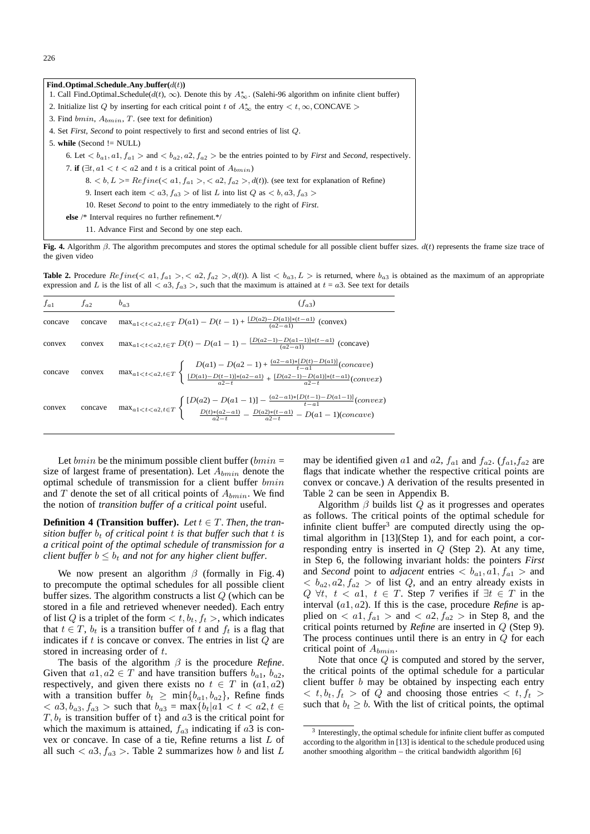| Find_Optimal_Schedule_Any_buffer $(d(t))$<br>1. Call Find Optimal Schedule( $d(t)$ , $\infty$ ). Denote this by $A^*_{\infty}$ . (Salehi-96 algorithm on infinite client buffer) |
|----------------------------------------------------------------------------------------------------------------------------------------------------------------------------------|
| 2. Initialize list Q by inserting for each critical point t of $A^*_{\infty}$ the entry $\lt t, \infty$ , CONCAVE $>$                                                            |
| 3. Find $bmin$ , $A_{bmin}$ , T. (see text for definition)                                                                                                                       |
| 4. Set First, Second to point respectively to first and second entries of list Q.                                                                                                |
| 5. while (Second $!=$ NULL)                                                                                                                                                      |
| 6. Let $\langle b_{a1}, a1, f_{a1} \rangle$ and $\langle b_{a2}, a2, f_{a2} \rangle$ be the entries pointed to by <i>First</i> and <i>Second</i> , respectively.                 |
| 7. if $(\exists t, a] < t < a$ 2 and t is a critical point of $A_{bmin}$ )                                                                                                       |
| 8. $\lt b, L \gt P$ Refine( $\lt a1, f_{a1} > \lt c2, f_{a2} > d(t)$ ). (see text for explanation of Refine)                                                                     |
| 9. Insert each item $\langle a3, f_{a3} \rangle$ of list L into list Q as $\langle b, a3, f_{a3} \rangle$                                                                        |
| 10. Reset Second to point to the entry immediately to the right of First.                                                                                                        |
| <b>else</b> /* Interval requires no further refinement.*/                                                                                                                        |
| 11. Advance First and Second by one step each.                                                                                                                                   |
|                                                                                                                                                                                  |

**Fig. 4.** Algorithm β. The algorithm precomputes and stores the optimal schedule for all possible client buffer sizes. d(t) represents the frame size trace of the given video

**Table 2.** Procedure  $Refine(*a*1, *f<sub>a1</sub>*) > , *a*2, *f<sub>a2</sub>* > , *d*(*t*)).$  A list  $(*b<sub>a3</sub>*, *L* > is returned, where *b<sub>a3</sub>* is obtained as the maximum of an appropriate$ expression and L is the list of all  $\langle a3, fa3 \rangle$ , such that the maximum is attained at  $t = a3$ . See text for details

| $f_{a1}$ | $f_{a2}$ | $(f_{a3})$<br>$b_{a3}$                                                                                                                                                                                                                               |
|----------|----------|------------------------------------------------------------------------------------------------------------------------------------------------------------------------------------------------------------------------------------------------------|
| concave  | concave  | $\max_{a1 \leq t \leq a2, t \in T} D(a1) - D(t-1) + \frac{[D(a2) - D(a1)]*(t-a1)}{(a2-a1)}$ (convex)                                                                                                                                                 |
| convex   | convex   | $\max_{a1 \leq t \leq a2, t \in T} D(t) - D(a1 - 1) - \frac{[D(a2 - 1) - D(a1 - 1)]*(t - a1)}{(a2 - a1)}$ (concave)                                                                                                                                  |
| concave  | convex   | $\max_{a1 < t < a2, t \in T} \left\{ \begin{array}{l} D(a1) - D(a2 - 1) + \frac{(a2 - a1)*[D(t) - D(a1)]}{t - a1}(concave) \\ \frac{[D(a1) - D(t-1)]*(a2 - a1)}{a^2 - t} + \frac{[D(a2 - 1) - D(a1)]*(t - a1)}{a^2 - t}(convex) \end{array} \right.$ |
| convex   | concave  | $\max_{a1 < t < a2, t \in T} \begin{cases} [D(a2) - D(a1 - 1)] - \frac{(a2 - a1) * [D(t-1) - D(a1-1)]}{t-a1} (convex) \\ \frac{D(t) * (a2 - a1)}{a2 - t} - \frac{D(a2) * (t-a1)}{a2 - t} - D(a1 - 1) (concave) \end{cases}$                          |

Let  $bmin$  be the minimum possible client buffer ( $bmin =$ size of largest frame of presentation). Let  $A_{bmin}$  denote the optimal schedule of transmission for a client buffer bmin and  $T$  denote the set of all critical points of  $A_{bmin}$ . We find the notion of *transition buffer of a critical point* useful.

**Definition 4 (Transition buffer).** *Let*  $t \in T$ . *Then, the transition buffer*  $b_t$  *of critical point*  $t$  *is that buffer such that*  $t$  *is a critical point of the optimal schedule of transmission for a client buffer*  $b \leq b_t$  *and not for any higher client buffer.* 

We now present an algorithm  $\beta$  (formally in Fig. 4) to precompute the optimal schedules for all possible client buffer sizes. The algorithm constructs a list  $Q$  (which can be stored in a file and retrieved whenever needed). Each entry of list Q is a triplet of the form  $\langle t, b_t, f_t \rangle$ , which indicates that  $t \in T$ ,  $b_t$  is a transition buffer of t and  $f_t$  is a flag that indicates if  $t$  is concave or convex. The entries in list  $Q$  are stored in increasing order of t.

The basis of the algorithm  $\beta$  is the procedure *Refine*. Given that  $a1, a2 \in T$  and have transition buffers  $b_{a1}, b_{a2}$ , respectively, and given there exists no  $t \in T$  in  $(a1, a2)$ with a transition buffer  $b_t \geq \min\{b_{a1}, b_{a2}\}\$ , Refine finds  $a_1 < a_2, b_{a_3}, f_{a_3} >$  such that  $b_{a_3} = \max\{b_t | a_1 < t < a_2, t \in \mathbb{R}\}$  $T, b_t$  is transition buffer of t} and  $a3$  is the critical point for which the maximum is attained,  $f_{a3}$  indicating if  $a3$  is convex or concave. In case of a tie, Refine returns a list L of all such  $\langle a3, f_{a3} \rangle$ . Table 2 summarizes how b and list L may be identified given a1 and a2,  $f_{a1}$  and  $f_{a2}$ .  $(f_{a1}, f_{a2})$  are flags that indicate whether the respective critical points are convex or concave.) A derivation of the results presented in Table 2 can be seen in Appendix B.

Algorithm  $\beta$  builds list  $Q$  as it progresses and operates as follows. The critical points of the optimal schedule for infinite client buffer<sup>3</sup> are computed directly using the optimal algorithm in [13](Step 1), and for each point, a corresponding entry is inserted in Q (Step 2). At any time, in Step 6, the following invariant holds: the pointers *First* and *Second* point to *adjacent* entries **<sub>a1</sub>,**  $a1$ **,**  $f_{a1}$  $>$  **and**  $$  $Q \forall t, t < a$ 1,  $t \in T$ . Step 7 verifies if  $\exists t \in T$  in the interval (a1, a2). If this is the case, procedure *Refine* is applied on  $\langle a_1, f_{a_1} \rangle$  and  $\langle a_2, f_{a_2} \rangle$  in Step 8, and the critical points returned by *Refine* are inserted in Q (Step 9). The process continues until there is an entry in  $Q$  for each critical point of  $A_{bmin}$ .

Note that once  $Q$  is computed and stored by the server, the critical points of the optimal schedule for a particular client buffer  $b$  may be obtained by inspecting each entry  $\langle t, b_t, f_t \rangle$  of Q and choosing those entries  $\langle t, f_t \rangle$ such that  $b_t \geq b$ . With the list of critical points, the optimal

226

<sup>&</sup>lt;sup>3</sup> Interestingly, the optimal schedule for infinite client buffer as computed according to the algorithm in [13] is identical to the schedule produced using another smoothing algorithm – the critical bandwidth algorithm [6]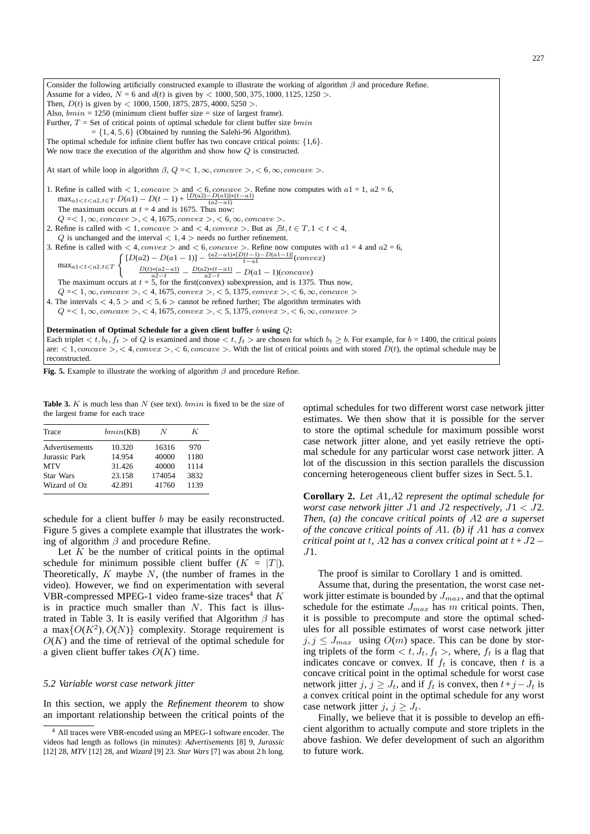227

Consider the following artificially constructed example to illustrate the working of algorithm  $\beta$  and procedure Refine. Assume for a video,  $N = 6$  and  $d(t)$  is given by  $< 1000, 500, 375, 1000, 1125, 1250 >$ . Then,  $D(t)$  is given by < 1000, 1500, 1875, 2875, 4000, 5250 >. Also,  $bmin = 1250$  (minimum client buffer size = size of largest frame). Further,  $T =$  Set of critical points of optimal schedule for client buffer size  $bmin$  $= \{1, 4, 5, 6\}$  (Obtained by running the Salehi-96 Algorithm). The optimal schedule for infinite client buffer has two concave critical points:  $\{1,6\}$ . We now trace the execution of the algorithm and show how Q is constructed. At start of while loop in algorithm  $\beta$ ,  $Q = \langle 1, \infty, concave \rangle$ ,  $\langle 6, \infty, concave \rangle$ . 1. Refine is called with  $\lt 1$ , concave  $>$  and  $\lt 6$ , concave  $>$ . Refine now computes with  $a1 = 1$ ,  $a2 = 6$ ,  $\max_{a1 \le t \le a2, t \in T} D(a1) - D(t-1) + \frac{[D(a2)-D(a1)]*(t-a1)}{(a2-a1)}$ The maximum occurs at  $t = 4$  and is 1675. Thus now:  $Q = <1, \infty, concave>, <4, 1675, convex>, <6, \infty, concave>.$ 2. Refine is called with  $\lt 1$ ,  $concave >$  and  $\lt 4$ ,  $convex >$ . But as  $\forall t, t \in T$ ,  $1 \lt t \lt 4$ , Q is unchanged and the interval  $< 1.4 >$  needs no further refinement. 3. Refine is called with  $\langle 4, convex \rangle$  and  $\langle 6, concave \rangle$ . Refine now computes with  $a1 = 4$  and  $a2 = 6$ ,  $\max_{a1 \leq t \leq a2, t \in T}$  $\int [D(a2) - D(a1-1)] - \frac{(a2-a1) * [D(t-1) - D(a1-1)]}{t-a1}$ (convex)  $\frac{D(t)*(a2-a1)}{a^2-t} - \frac{D(a2)*(t-a1)}{a^2-t} - D(a1-1)(concave)$ The maximum occurs at  $t = 5$ , for the first(convex) subexpression, and is 1375. Thus now,  $Q = 1, \infty, concave > 0, 4, 1675, convex > 0, 5, 1375, convex > 0, 6, \infty, concave > 0$ 4. The intervals  $< 4, 5 >$  and  $< 5, 6 >$  cannot be refined further; The algorithm terminates with  $Q = \langle 1, \infty, \text{concave} > \rangle, \langle 4, 1675, \text{convex} > \rangle, \langle 5, 1375, \text{convex} > \rangle, \langle 6, \infty, \text{concave} > \rangle$ **Determination of Optimal Schedule for a given client buffer** b **using** Q**:** Each triplet  $\langle t, b_t, f_t \rangle$  of Q is examined and those  $\langle t, f_t \rangle$  are chosen for which  $b_t \rangle$  b. For example, for  $b = 1400$ , the critical points are:  $\langle 1, concave \rangle$ ,  $\langle 4, convex \rangle$ ,  $\langle 6, concave \rangle$ . With the list of critical points and with stored  $D(t)$ , the optimal schedule may be reconstructed.

**Fig. 5.** Example to illustrate the working of algorithm  $\beta$  and procedure Refine.

**Table 3.** K is much less than N (see text).  $bmin$  is fixed to be the size of the largest frame for each trace

| Trace          | bmin(KB) | N      | K    |
|----------------|----------|--------|------|
| Advertisements | 10.320   | 16316  | 970  |
| Jurassic Park  | 14.954   | 40000  | 1180 |
| <b>MTV</b>     | 31.426   | 40000  | 1114 |
| Star Wars      | 23.158   | 174054 | 3832 |
| Wizard of Oz   | 42.891   | 41760  | 1139 |

schedule for a client buffer *b* may be easily reconstructed. Figure 5 gives a complete example that illustrates the working of algorithm  $\beta$  and procedure Refine.

Let  $K$  be the number of critical points in the optimal schedule for minimum possible client buffer  $(K = |T|)$ . Theoretically,  $K$  maybe  $N$ , (the number of frames in the video). However, we find on experimentation with several VBR-compressed MPEG-1 video frame-size traces<sup>4</sup> that  $K$ is in practice much smaller than  $N$ . This fact is illustrated in Table 3. It is easily verified that Algorithm  $\beta$  has a max $\{O(K^2), O(N)\}\$ complexity. Storage requirement is  $O(K)$  and the time of retrieval of the optimal schedule for a given client buffer takes  $O(K)$  time.

# *5.2 Variable worst case network jitter*

In this section, we apply the *Refinement theorem* to show an important relationship between the critical points of the optimal schedules for two different worst case network jitter estimates. We then show that it is possible for the server to store the optimal schedule for maximum possible worst case network jitter alone, and yet easily retrieve the optimal schedule for any particular worst case network jitter. A lot of the discussion in this section parallels the discussion concerning heterogeneous client buffer sizes in Sect. 5.1.

**Corollary 2.** *Let* A1*,*A2 *represent the optimal schedule for worst case network jitter* J1 *and* J2 *respectively,* J1 < J2*. Then, (a) the concave critical points of* A2 *are a superset of the concave critical points of* A1*. (b) if* A1 *has a convex critical point at t, A2 has a convex critical point at*  $t + J2 -$ J1*.*

#### The proof is similar to Corollary 1 and is omitted.

Assume that, during the presentation, the worst case network jitter estimate is bounded by  $J_{max}$ , and that the optimal schedule for the estimate  $J_{max}$  has m critical points. Then, it is possible to precompute and store the optimal schedules for all possible estimates of worst case network jitter  $j, j \leq J_{max}$  using  $O(m)$  space. This can be done by storing triplets of the form  $\langle t, J_t, f_t \rangle$ , where,  $f_t$  is a flag that indicates concave or convex. If  $f_t$  is concave, then t is a concave critical point in the optimal schedule for worst case network jitter  $j, j \geq J_t$ , and if  $f_t$  is convex, then  $t+j-J_t$  is a convex critical point in the optimal schedule for any worst case network jitter j,  $j \geq J_t$ .

Finally, we believe that it is possible to develop an efficient algorithm to actually compute and store triplets in the above fashion. We defer development of such an algorithm to future work.

<sup>4</sup> All traces were VBR-encoded using an MPEG-1 software encoder. The videos had length as follows (in minutes): *Advertisements* [8] 9, *Jurassic* [12] 28, *MTV* [12] 28, and *Wizard* [9] 23. *Star Wars* [7] was about 2 h long.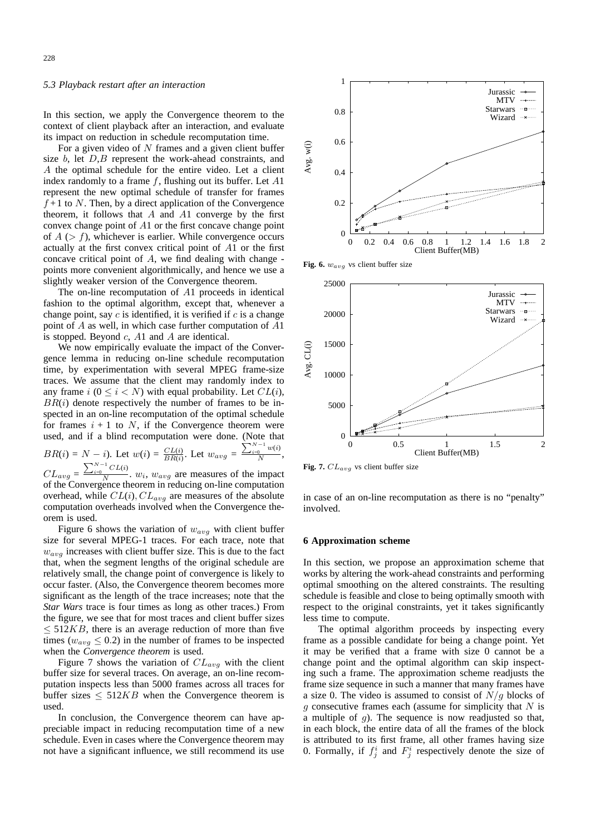#### *5.3 Playback restart after an interaction*

In this section, we apply the Convergence theorem to the context of client playback after an interaction, and evaluate its impact on reduction in schedule recomputation time.

For a given video of  $N$  frames and a given client buffer size b, let D,B represent the work-ahead constraints, and A the optimal schedule for the entire video. Let a client index randomly to a frame  $f$ , flushing out its buffer. Let  $A1$ represent the new optimal schedule of transfer for frames  $f+1$  to N. Then, by a direct application of the Convergence theorem, it follows that  $A$  and  $A1$  converge by the first convex change point of A1 or the first concave change point of  $A$  ( $> f$ ), whichever is earlier. While convergence occurs actually at the first convex critical point of A1 or the first concave critical point of A, we find dealing with change points more convenient algorithmically, and hence we use a slightly weaker version of the Convergence theorem.

The on-line recomputation of A1 proceeds in identical fashion to the optimal algorithm, except that, whenever a change point, say  $c$  is identified, it is verified if  $c$  is a change point of A as well, in which case further computation of A1 is stopped. Beyond  $c$ ,  $A1$  and  $A$  are identical.

We now empirically evaluate the impact of the Convergence lemma in reducing on-line schedule recomputation time, by experimentation with several MPEG frame-size traces. We assume that the client may randomly index to any frame  $i$   $(0 \le i \le N)$  with equal probability. Let  $CL(i)$ ,  $BR(i)$  denote respectively the number of frames to be inspected in an on-line recomputation of the optimal schedule for frames  $i + 1$  to N, if the Convergence theorem were used, and if a blind recomputation were done. (Note that  $BR(i) = N - i$ ). Let  $w(i) = \frac{CL(i)}{BR(i)}$ . Let  $w_{avg} = \frac{\sum_{i=0}^{N-1} w(i)}{N}$ ,  $CL_{avg} = \frac{\sum_{i=0}^{N-1} CL(i)}{N}$ .  $w_i$ ,  $w_{avg}$  are measures of the impact of the Convergence theorem in reducing on-line computation overhead, while  $CL(i)$ ,  $CL_{avg}$  are measures of the absolute computation overheads involved when the Convergence theorem is used.

Figure 6 shows the variation of  $w_{avg}$  with client buffer size for several MPEG-1 traces. For each trace, note that  $w_{avg}$  increases with client buffer size. This is due to the fact that, when the segment lengths of the original schedule are relatively small, the change point of convergence is likely to occur faster. (Also, the Convergence theorem becomes more significant as the length of the trace increases; note that the *Star Wars* trace is four times as long as other traces.) From the figure, we see that for most traces and client buffer sizes  $\leq$  512KB, there is an average reduction of more than five times ( $w_{avg} \leq 0.2$ ) in the number of frames to be inspected when the *Convergence theorem* is used.

Figure 7 shows the variation of  $CL_{avg}$  with the client buffer size for several traces. On average, an on-line recomputation inspects less than 5000 frames across all traces for buffer sizes  $\leq 512KB$  when the Convergence theorem is used.

In conclusion, the Convergence theorem can have appreciable impact in reducing recomputation time of a new schedule. Even in cases where the Convergence theorem may not have a significant influence, we still recommend its use



Fig. 6.  $w_{avg}$  vs client buffer size



Fig. 7.  $CL_{avg}$  vs client buffer size

in case of an on-line recomputation as there is no "penalty" involved.

#### **6 Approximation scheme**

In this section, we propose an approximation scheme that works by altering the work-ahead constraints and performing optimal smoothing on the altered constraints. The resulting schedule is feasible and close to being optimally smooth with respect to the original constraints, yet it takes significantly less time to compute.

The optimal algorithm proceeds by inspecting every frame as a possible candidate for being a change point. Yet it may be verified that a frame with size 0 cannot be a change point and the optimal algorithm can skip inspecting such a frame. The approximation scheme readjusts the frame size sequence in such a manner that many frames have a size 0. The video is assumed to consist of  $N/g$  blocks of  $g$  consecutive frames each (assume for simplicity that  $N$  is a multiple of  $g$ ). The sequence is now readjusted so that, in each block, the entire data of all the frames of the block is attributed to its first frame, all other frames having size 0. Formally, if  $f_j^i$  and  $F_j^i$  respectively denote the size of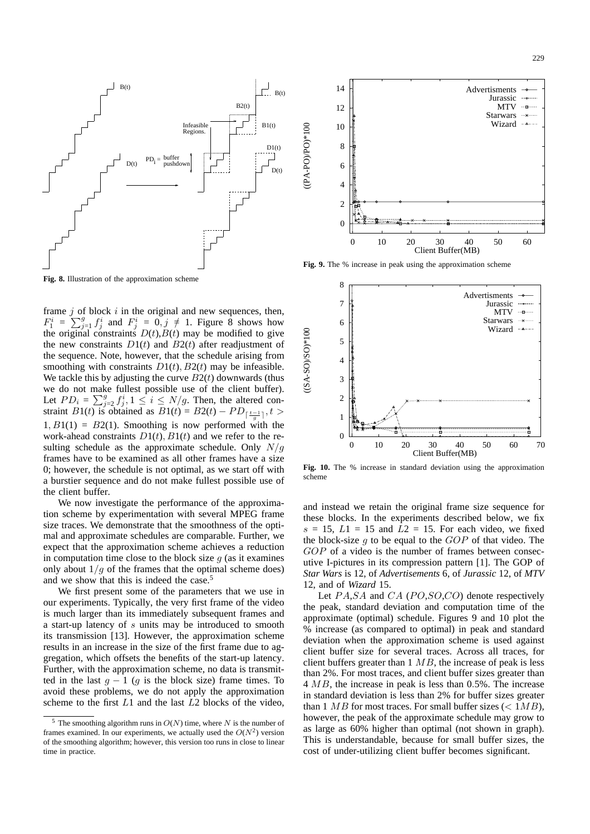

**Fig. 8.** Illustration of the approximation scheme

frame  $j$  of block  $i$  in the original and new sequences, then,  $F_1^i = \sum_{j=1}^g f_j^i$  and  $F_j^i = 0, j \neq 1$ . Figure 8 shows how the original constraints  $D(t)$ ,  $B(t)$  may be modified to give the new constraints  $D1(t)$  and  $B2(t)$  after readjustment of the sequence. Note, however, that the schedule arising from smoothing with constraints  $D1(t)$ ,  $B2(t)$  may be infeasible. We tackle this by adjusting the curve  $B2(t)$  downwards (thus we do not make fullest possible use of the client buffer). Let  $PD_i = \sum_{j=2}^{g} f_j^i$ ,  $1 \leq i \leq N/g$ . Then, the altered constraint  $B1(t)$  is obtained as  $B1(t) = B2(t) - PD_{\lceil \frac{t-1}{g} \rceil}, t >$  $1, B1(1) = B2(1)$ . Smoothing is now performed with the work-ahead constraints  $D1(t)$ ,  $B1(t)$  and we refer to the resulting schedule as the approximate schedule. Only  $N/q$ frames have to be examined as all other frames have a size 0; however, the schedule is not optimal, as we start off with a burstier sequence and do not make fullest possible use of the client buffer.

We now investigate the performance of the approximation scheme by experimentation with several MPEG frame size traces. We demonstrate that the smoothness of the optimal and approximate schedules are comparable. Further, we expect that the approximation scheme achieves a reduction in computation time close to the block size  $g$  (as it examines only about  $1/g$  of the frames that the optimal scheme does) and we show that this is indeed the case.<sup>5</sup>

We first present some of the parameters that we use in our experiments. Typically, the very first frame of the video is much larger than its immediately subsequent frames and a start-up latency of s units may be introduced to smooth its transmission [13]. However, the approximation scheme results in an increase in the size of the first frame due to aggregation, which offsets the benefits of the start-up latency. Further, with the approximation scheme, no data is transmitted in the last  $g - 1$  (q is the block size) frame times. To avoid these problems, we do not apply the approximation scheme to the first  $L1$  and the last  $L2$  blocks of the video,



**Fig. 9.** The % increase in peak using the approximation scheme



**Fig. 10.** The % increase in standard deviation using the approximation scheme

and instead we retain the original frame size sequence for these blocks. In the experiments described below, we fix  $s = 15$ ,  $L1 = 15$  and  $L2 = 15$ . For each video, we fixed the block-size  $g$  to be equal to the  $GOP$  of that video. The GOP of a video is the number of frames between consecutive I-pictures in its compression pattern [1]. The GOP of *Star Wars* is 12, of *Advertisements* 6, of *Jurassic* 12, of *MTV* 12, and of *Wizard* 15.

Let  $PA, SA$  and  $CA$  ( $PO, SO, CO$ ) denote respectively the peak, standard deviation and computation time of the approximate (optimal) schedule. Figures 9 and 10 plot the % increase (as compared to optimal) in peak and standard deviation when the approximation scheme is used against client buffer size for several traces. Across all traces, for client buffers greater than  $1 \overline{MB}$ , the increase of peak is less than 2%. For most traces, and client buffer sizes greater than 4 MB, the increase in peak is less than 0.5%. The increase in standard deviation is less than 2% for buffer sizes greater than 1 MB for most traces. For small buffer sizes ( $\lt 1MB$ ), however, the peak of the approximate schedule may grow to as large as 60% higher than optimal (not shown in graph). This is understandable, because for small buffer sizes, the cost of under-utilizing client buffer becomes significant.

<sup>&</sup>lt;sup>5</sup> The smoothing algorithm runs in  $O(N)$  time, where N is the number of frames examined. In our experiments, we actually used the  $O(N^2)$  version of the smoothing algorithm; however, this version too runs in close to linear time in practice.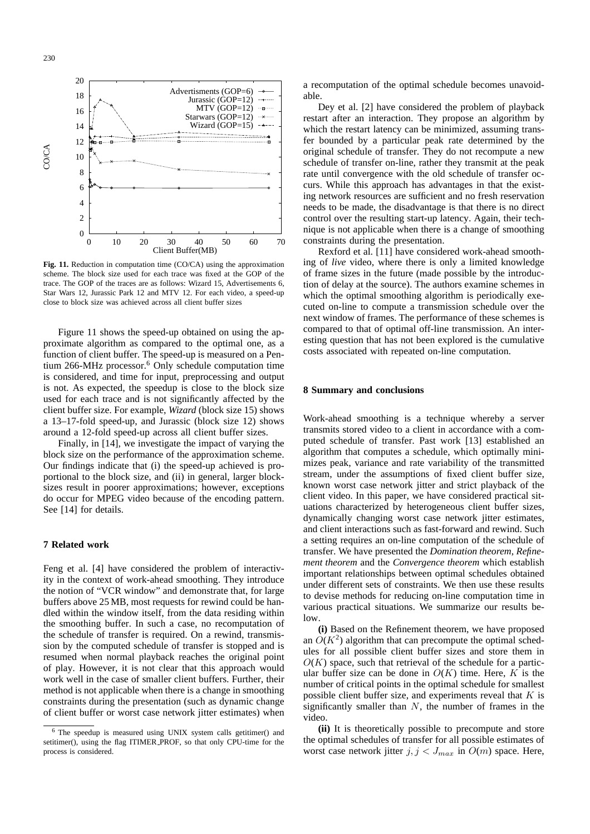

**Fig. 11.** Reduction in computation time (CO/CA) using the approximation scheme. The block size used for each trace was fixed at the GOP of the trace. The GOP of the traces are as follows: Wizard 15, Advertisements 6, Star Wars 12, Jurassic Park 12 and MTV 12. For each video, a speed-up close to block size was achieved across all client buffer sizes

Figure 11 shows the speed-up obtained on using the approximate algorithm as compared to the optimal one, as a function of client buffer. The speed-up is measured on a Pentium 266-MHz processor.<sup>6</sup> Only schedule computation time is considered, and time for input, preprocessing and output is not. As expected, the speedup is close to the block size used for each trace and is not significantly affected by the client buffer size. For example, *Wizard* (block size 15) shows a 13–17-fold speed-up, and Jurassic (block size 12) shows around a 12-fold speed-up across all client buffer sizes.

Finally, in [14], we investigate the impact of varying the block size on the performance of the approximation scheme. Our findings indicate that (i) the speed-up achieved is proportional to the block size, and (ii) in general, larger blocksizes result in poorer approximations; however, exceptions do occur for MPEG video because of the encoding pattern. See [14] for details.

### **7 Related work**

Feng et al. [4] have considered the problem of interactivity in the context of work-ahead smoothing. They introduce the notion of "VCR window" and demonstrate that, for large buffers above 25 MB, most requests for rewind could be handled within the window itself, from the data residing within the smoothing buffer. In such a case, no recomputation of the schedule of transfer is required. On a rewind, transmission by the computed schedule of transfer is stopped and is resumed when normal playback reaches the original point of play. However, it is not clear that this approach would work well in the case of smaller client buffers. Further, their method is not applicable when there is a change in smoothing constraints during the presentation (such as dynamic change of client buffer or worst case network jitter estimates) when a recomputation of the optimal schedule becomes unavoidable.

Dey et al. [2] have considered the problem of playback restart after an interaction. They propose an algorithm by which the restart latency can be minimized, assuming transfer bounded by a particular peak rate determined by the original schedule of transfer. They do not recompute a new schedule of transfer on-line, rather they transmit at the peak rate until convergence with the old schedule of transfer occurs. While this approach has advantages in that the existing network resources are sufficient and no fresh reservation needs to be made, the disadvantage is that there is no direct control over the resulting start-up latency. Again, their technique is not applicable when there is a change of smoothing constraints during the presentation.

Rexford et al. [11] have considered work-ahead smoothing of *live* video, where there is only a limited knowledge of frame sizes in the future (made possible by the introduction of delay at the source). The authors examine schemes in which the optimal smoothing algorithm is periodically executed on-line to compute a transmission schedule over the next window of frames. The performance of these schemes is compared to that of optimal off-line transmission. An interesting question that has not been explored is the cumulative costs associated with repeated on-line computation.

#### **8 Summary and conclusions**

Work-ahead smoothing is a technique whereby a server transmits stored video to a client in accordance with a computed schedule of transfer. Past work [13] established an algorithm that computes a schedule, which optimally minimizes peak, variance and rate variability of the transmitted stream, under the assumptions of fixed client buffer size, known worst case network jitter and strict playback of the client video. In this paper, we have considered practical situations characterized by heterogeneous client buffer sizes, dynamically changing worst case network jitter estimates, and client interactions such as fast-forward and rewind. Such a setting requires an on-line computation of the schedule of transfer. We have presented the *Domination theorem*, *Refinement theorem* and the *Convergence theorem* which establish important relationships between optimal schedules obtained under different sets of constraints. We then use these results to devise methods for reducing on-line computation time in various practical situations. We summarize our results below.

**(i)** Based on the Refinement theorem, we have proposed an  $O(K^2)$  algorithm that can precompute the optimal schedules for all possible client buffer sizes and store them in  $O(K)$  space, such that retrieval of the schedule for a particular buffer size can be done in  $O(K)$  time. Here, K is the number of critical points in the optimal schedule for smallest possible client buffer size, and experiments reveal that  $K$  is significantly smaller than  $N$ , the number of frames in the video.

**(ii)** It is theoretically possible to precompute and store the optimal schedules of transfer for all possible estimates of worst case network jitter  $j, j < J_{max}$  in  $O(m)$  space. Here,

<sup>6</sup> The speedup is measured using UNIX system calls getitimer() and setitimer(), using the flag ITIMER PROF, so that only CPU-time for the process is considered.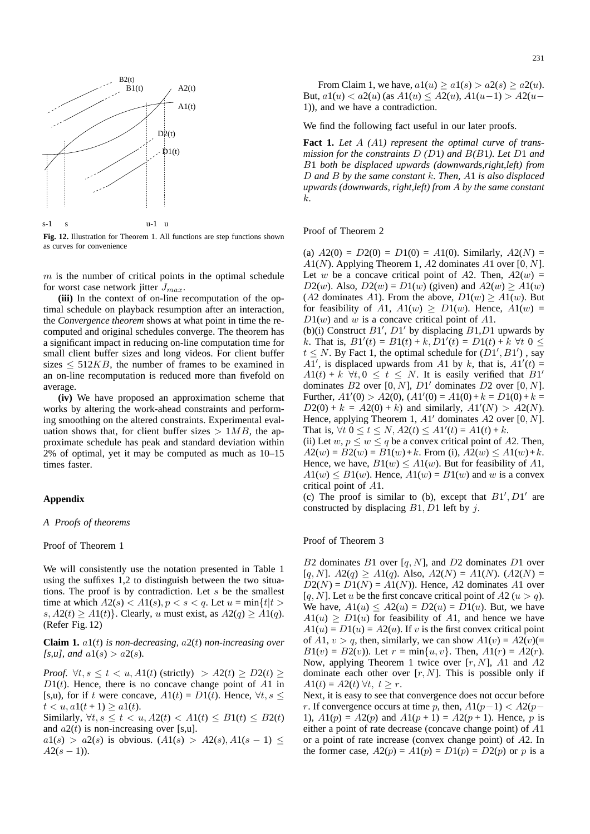

 $s-1$  s  $u-1$  u

**Fig. 12.** Illustration for Theorem 1. All functions are step functions shown as curves for convenience

 $m$  is the number of critical points in the optimal schedule for worst case network jitter  $J_{max}$ .

**(iii)** In the context of on-line recomputation of the optimal schedule on playback resumption after an interaction, the *Convergence theorem* shows at what point in time the recomputed and original schedules converge. The theorem has a significant impact in reducing on-line computation time for small client buffer sizes and long videos. For client buffer sizes  $\leq 512KB$ , the number of frames to be examined in an on-line recomputation is reduced more than fivefold on average.

**(iv)** We have proposed an approximation scheme that works by altering the work-ahead constraints and performing smoothing on the altered constraints. Experimental evaluation shows that, for client buffer sizes  $> 1MB$ , the approximate schedule has peak and standard deviation within 2% of optimal, yet it may be computed as much as 10–15 times faster.

#### **Appendix**

#### *A Proofs of theorems*

#### Proof of Theorem 1

We will consistently use the notation presented in Table 1 using the suffixes 1,2 to distinguish between the two situations. The proof is by contradiction. Let  $s$  be the smallest time at which  $A2(s) < A1(s), p < s < q$ . Let  $u = min\{t | t >$ s,  $A2(t) \ge A1(t)$ . Clearly, u must exist, as  $A2(q) \ge A1(q)$ . (Refer Fig. 12)

**Claim 1.** a1(t) *is non-decreasing,* a2(t) *non-increasing over [s,u], and a1(s) > a2(s).* 

*Proof.*  $\forall t, s \leq t < u, A1(t)$  (strictly) >  $A2(t) \geq D2(t) \geq$  $D1(t)$ . Hence, there is no concave change point of A1 in [s,u), for if t were concave,  $A1(t) = D1(t)$ . Hence,  $\forall t, s \leq$  $t < u, a1(t+1) \ge a1(t)$ .

Similarly,  $\forall t, s \leq t < u, A2(t) < A1(t) \leq B1(t) \leq B2(t)$ and  $a2(t)$  is non-increasing over [s,u].

 $a1(s) > a2(s)$  is obvious.  $(A1(s) > A2(s), A1(s - 1) \le$  $A2(s - 1)$ ).

From Claim 1, we have,  $a1(u) \ge a1(s) > a2(s) \ge a2(u)$ . But,  $a1(u) < a2(u)$  (as  $A1(u) ≤ A2(u)$ ,  $A1(u-1) > A2(u-$ 1)), and we have a contradiction.

We find the following fact useful in our later proofs.

**Fact 1.** *Let* A *(*A1*) represent the optimal curve of transmission for the constraints* D *(*D1*) and* B*(*B1*). Let* D1 *and* B1 *both be displaced upwards (downwards,right,left) from* D *and* B *by the same constant* k*. Then,* A1 *is also displaced upwards (downwards, right,left) from* A *by the same constant* k*.*

Proof of Theorem 2

(a)  $A2(0) = D2(0) = D1(0) = A1(0)$ . Similarly,  $A2(N) =$  $A1(N)$ . Applying Theorem 1, A2 dominates A1 over [0, N]. Let w be a concave critical point of A2. Then,  $A2(w)$  = D2(w). Also,  $D2(w) = D1(w)$  (given) and  $A2(w) > A1(w)$ (A2 dominates A1). From the above,  $D1(w) \geq A1(w)$ . But for feasibility of A1,  $A1(w) \geq D1(w)$ . Hence,  $A1(w) =$  $D1(w)$  and w is a concave critical point of A1.

(b)(i) Construct  $B1'$ ,  $D1'$  by displacing  $B1$ ,  $D1$  upwards by k. That is,  $B1'(t) = B1(t) + k$ ,  $D1'(t) = D1(t) + k \ \forall t \ 0 \le$  $t \leq N$ . By Fact 1, the optimal schedule for  $(D1', B1')$ , say A1', is displaced upwards from A1 by k, that is,  $A1'(t) =$  $A1(t) + k \ \forall t, 0 \leq t \leq N$ . It is easily verified that  $B1$ ' dominates B2 over  $[0, N]$ , D1' dominates D2 over  $[0, N]$ . Further,  $A1'(0) > A2(0)$ ,  $(A1'(0) = A1(0) + k = D1(0) + k =$  $D2(0) + k = A2(0) + k$  and similarly,  $A1'(N) > A2(N)$ . Hence, applying Theorem 1,  $A1'$  dominates  $A2$  over [0, N]. That is,  $\forall t \ 0 \le t \le N$ ,  $A2(t) \le A1'(t) = A1(t) + k$ .

(ii) Let  $w, p \leq w \leq q$  be a convex critical point of A2. Then,  $A2(w) = B2(w) = B1(w) + k$ . From (i),  $A2(w) \le A1(w) + k$ . Hence, we have,  $B1(w) \leq A1(w)$ . But for feasibility of A1,  $A1(w) \leq B1(w)$ . Hence,  $A1(w) = B1(w)$  and w is a convex critical point of A1.

(c) The proof is similar to (b), except that  $B1', D1'$  are constructed by displacing  $B1, D1$  left by j.

# Proof of Theorem 3

B2 dominates B1 over  $[q, N]$ , and D2 dominates D1 over  $[q, N]$ .  $A2(q) \ge A1(q)$ . Also,  $A2(N) = A1(N)$ .  $(A2(N) =$  $D2(N) = D1(N) = A1(N)$ . Hence, A2 dominates A1 over [q, N]. Let u be the first concave critical point of  $A2 (u > q)$ . We have,  $A1(u) \le A2(u) = D2(u) = D1(u)$ . But, we have  $A1(u) \geq D1(u)$  for feasibility of A1, and hence we have  $A1(u) = D1(u) = A2(u)$ . If v is the first convex critical point of A1,  $v > q$ , then, similarly, we can show  $A1(v) = A2(v)(=$  $B1(v) = B2(v)$ ). Let  $r = \min\{u, v\}$ . Then,  $A1(r) = A2(r)$ . Now, applying Theorem 1 twice over  $[r, N]$ , A1 and A2 dominate each other over  $[r, N]$ . This is possible only if  $A1(t) = A2(t) \,\forall t, t \geq r.$ 

Next, it is easy to see that convergence does not occur before r. If convergence occurs at time p, then,  $A1(p-1) < A2(p-1)$ 1),  $A1(p) = A2(p)$  and  $A1(p + 1) = A2(p + 1)$ . Hence, p is either a point of rate decrease (concave change point) of A1 or a point of rate increase (convex change point) of A2. In the former case,  $A2(p) = A1(p) = D1(p) = D2(p)$  or p is a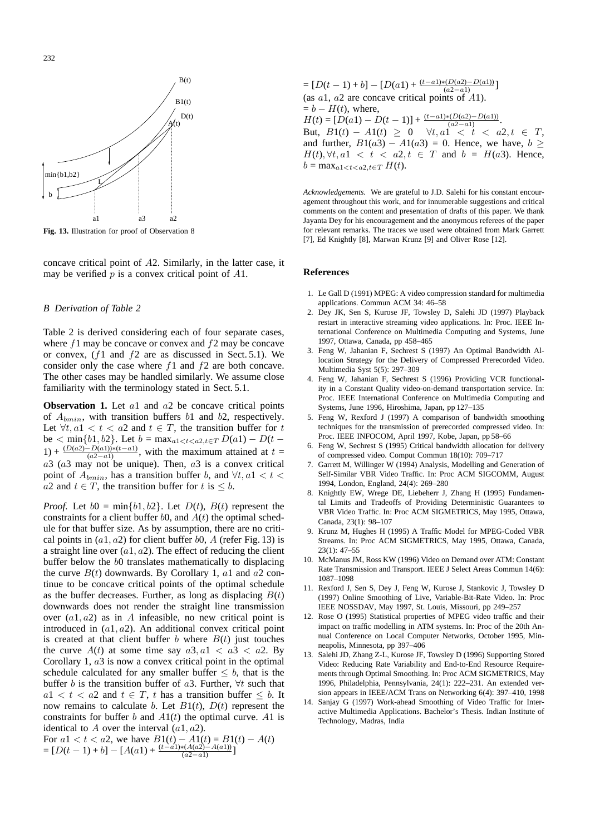

**Fig. 13.** Illustration for proof of Observation 8

concave critical point of A2. Similarly, in the latter case, it may be verified  $p$  is a convex critical point of  $A1$ .

## *B Derivation of Table 2*

Table 2 is derived considering each of four separate cases, where  $f1$  may be concave or convex and  $f2$  may be concave or convex,  $(f1$  and  $f2$  are as discussed in Sect. 5.1). We consider only the case where  $f1$  and  $f2$  are both concave. The other cases may be handled similarly. We assume close familiarity with the terminology stated in Sect. 5.1.

**Observation 1.** Let a1 and a2 be concave critical points of  $A_{bmin}$ , with transition buffers b1 and b2, respectively. Let  $\forall t, a1 < t < a2$  and  $t \in T$ , the transition buffer for t be  $\langle \min\{b1, b2\} \rangle$ . Let  $b = \max_{a1 \le t \le a2, t \in T} D(a1) - D(t -$ 1) +  $\frac{(D(a2)-D(a1))*(t-a1)}{(a2-a1)}$ , with the maximum attained at t =  $a3$  ( $a3$  may not be unique). Then,  $a3$  is a convex critical point of  $A_{bmin}$ , has a transition buffer b, and  $\forall t, a1 < t <$ a2 and  $t \in T$ , the transition buffer for t is  $\leq b$ .

*Proof.* Let  $b0 = \min\{b1, b2\}$ . Let  $D(t)$ ,  $B(t)$  represent the constraints for a client buffer b0, and  $A(t)$  the optimal schedule for that buffer size. As by assumption, there are no critical points in  $(a1, a2)$  for client buffer b0, A (refer Fig. 13) is a straight line over  $(a1, a2)$ . The effect of reducing the client buffer below the b0 translates mathematically to displacing the curve  $B(t)$  downwards. By Corollary 1, a1 and a2 continue to be concave critical points of the optimal schedule as the buffer decreases. Further, as long as displacing  $B(t)$ downwards does not render the straight line transmission over  $(a1, a2)$  as in A infeasible, no new critical point is introduced in  $(a1, a2)$ . An additional convex critical point is created at that client buffer  $b$  where  $B(t)$  just touches the curve  $A(t)$  at some time say  $a3$ ,  $a1 < a3 < a2$ . By Corollary 1, a3 is now a convex critical point in the optimal schedule calculated for any smaller buffer  $\leq b$ , that is the buffer b is the transition buffer of a3. Further,  $\forall t$  such that  $a1 < t < a2$  and  $t \in T$ , t has a transition buffer  $\leq b$ . It now remains to calculate b. Let  $B1(t)$ ,  $D(t)$  represent the constraints for buffer b and  $A1(t)$  the optimal curve. A1 is identical to A over the interval  $(a1, a2)$ .

For 
$$
a1 < t < a2
$$
, we have  $B1(t) - A1(t) = B1(t) - A(t)$   
=  $[D(t-1) + b] - [A(a1) + \frac{(t-a1)*(A(a2) - A(a1))}{(a2 - a1)}]$ 

 $=[D(t-1)+b] - [D(a1) + \frac{(t-a1)*(D(a2)-D(a1))}{(a2-a)}]$ (as  $a1$ ,  $a2$  are concave critical points of  $A1$ ).  $= b - H(t)$ , where,  $H(t) = [D(a1) - D(t-1)] + \frac{(t-a1)*(D(a2)-D(a1))}{(a2-a1)}$ .<br>But,  $B1(t) - A1(t) \ge 0$   $\forall t, a1 < t < a2, t \in T$ , and further,  $B1(a3) - A1(a3) = 0$ . Hence, we have,  $b \geq$  $H(t), \forall t, a1 < t < a2, t \in T$  and  $b = H(a3)$ . Hence,  $b = \max_{a1 < t < a2, t \in T} H(t).$ 

*Acknowledgements.* We are grateful to J.D. Salehi for his constant encouragement throughout this work, and for innumerable suggestions and critical comments on the content and presentation of drafts of this paper. We thank Jayanta Dey for his encouragement and the anonymous referees of the paper for relevant remarks. The traces we used were obtained from Mark Garrett [7], Ed Knightly [8], Marwan Krunz [9] and Oliver Rose [12].

#### **References**

- 1. Le Gall D (1991) MPEG: A video compression standard for multimedia applications. Commun ACM 34: 46–58
- 2. Dey JK, Sen S, Kurose JF, Towsley D, Salehi JD (1997) Playback restart in interactive streaming video applications. In: Proc. IEEE International Conference on Multimedia Computing and Systems, June 1997, Ottawa, Canada, pp 458–465
- 3. Feng W, Jahanian F, Sechrest S (1997) An Optimal Bandwidth Allocation Strategy for the Delivery of Compressed Prerecorded Video. Multimedia Syst 5(5): 297–309
- 4. Feng W, Jahanian F, Sechrest S (1996) Providing VCR functionality in a Constant Quality video-on-demand transportation service. In: Proc. IEEE International Conference on Multimedia Computing and Systems, June 1996, Hiroshima, Japan, pp 127–135
- 5. Feng W, Rexford J (1997) A comparison of bandwidth smoothing techniques for the transmission of prerecorded compressed video. In: Proc. IEEE INFOCOM, April 1997, Kobe, Japan, pp 58–66
- 6. Feng W, Sechrest S (1995) Critical bandwidth allocation for delivery of compressed video. Comput Commun 18(10): 709–717
- 7. Garrett M, Willinger W (1994) Analysis, Modelling and Generation of Self-Similar VBR Video Traffic. In: Proc ACM SIGCOMM, August 1994, London, England, 24(4): 269–280
- 8. Knightly EW, Wrege DE, Liebeherr J, Zhang H (1995) Fundamental Limits and Tradeoffs of Providing Deterministic Guarantees to VBR Video Traffic. In: Proc ACM SIGMETRICS, May 1995, Ottawa, Canada, 23(1): 98–107
- 9. Krunz M, Hughes H (1995) A Traffic Model for MPEG-Coded VBR Streams. In: Proc ACM SIGMETRICS, May 1995, Ottawa, Canada, 23(1): 47–55
- 10. McManus JM, Ross KW (1996) Video on Demand over ATM: Constant Rate Transmission and Transport. IEEE J Select Areas Commun 14(6): 1087–1098
- 11. Rexford J, Sen S, Dey J, Feng W, Kurose J, Stankovic J, Towsley D (1997) Online Smoothing of Live, Variable-Bit-Rate Video. In: Proc IEEE NOSSDAV, May 1997, St. Louis, Missouri, pp 249–257
- 12. Rose O (1995) Statistical properties of MPEG video traffic and their impact on traffic modelling in ATM systems. In: Proc of the 20th Annual Conference on Local Computer Networks, October 1995, Minneapolis, Minnesota, pp 397–406
- 13. Salehi JD, Zhang Z-L, Kurose JF, Towsley D (1996) Supporting Stored Video: Reducing Rate Variability and End-to-End Resource Requirements through Optimal Smoothing. In: Proc ACM SIGMETRICS, May 1996, Philadelphia, Pennsylvania, 24(1): 222–231. An extended version appears in IEEE/ACM Trans on Networking 6(4): 397–410, 1998
- 14. Sanjay G (1997) Work-ahead Smoothing of Video Traffic for Interactive Multimedia Applications. Bachelor's Thesis. Indian Institute of Technology, Madras, India